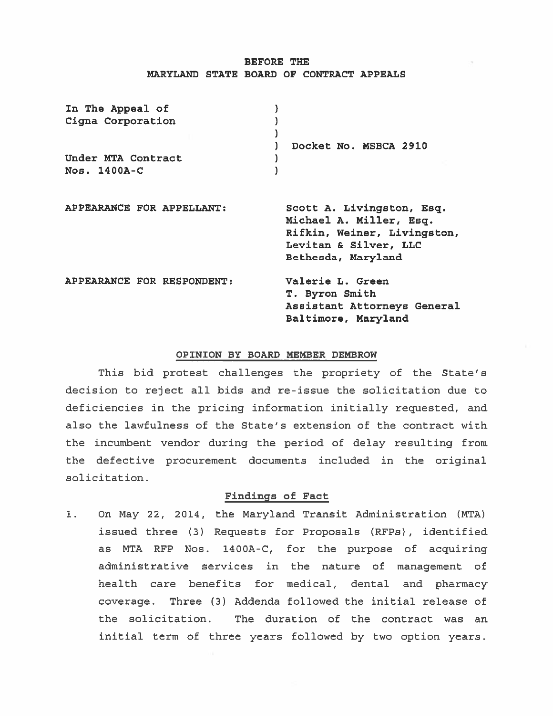## BEFORE THE MARYLAND STATE BOARD OF CONTRACT APPEALS

| Docket No. MSBCA 2910                                                                                                              |
|------------------------------------------------------------------------------------------------------------------------------------|
| Scott A. Livingston, Esq.<br>Michael A. Miller, Esq.<br>Rifkin, Weiner, Livingston,<br>Levitan & Silver, LLC<br>Bethesda, Maryland |
| Valerie L. Green<br>T. Byron Smith<br>Assistant Attorneys General<br>Baltimore, Maryland                                           |
|                                                                                                                                    |

## OPINION BY BOARD MEMBER DEMBROW

This bid protest challenges the propriety of the State's decision to reject all bids and re-issue the solicitation due to deficiencies in the pricing information initially requested, and also the lawfulness of the State's extension of the contract with the incumbent vendor during the period of delay resulting from the defective procuremen<sup>t</sup> documents included in the original solicitation.

#### Findings of Fact

1. On May 22, 2014, the Maryland Transit Administration (MTA) issued three (3) Requests for Proposals (RFP5) , identified as MTA RFP Nos. 1400A-C, for the purpose of acquiring administrative services in the nature of managemen<sup>t</sup> of health care benefits for medical, dental and pharmacy coverage. Three (3) Addenda followed the initial release of the solicitation. The duration of the contract was an initial term of three years followed by two option years.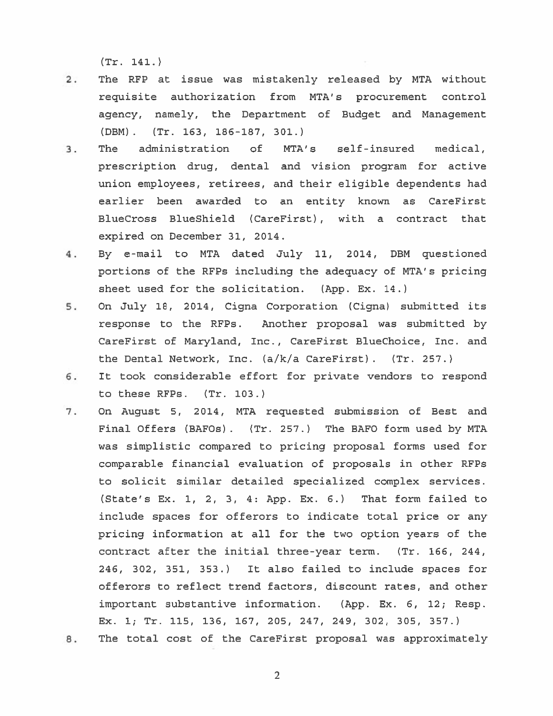(Tr. 141.)

- 2. The RFP at issue was mistakenly released by MTA without requisite authorization from MTA's procuremen<sup>t</sup> control agency, namely, the Department of Budget and Management (DBM) . (Tr. 163, 186-187, 301.)
- 3. The administration of MTA's self-insured medical, prescription drug, dental and vision program for active union employees, retirees, and their eligible dependents had earlier been awarded to an entity known as CareFirst BlueCross BlueShield (CareFirst) , with <sup>a</sup> contract that expired on December 31, 2014.
- 4. By e-mail to MTA dated July 11, 2014, DBM questioned portions of the RFPs including the adequacy of MTA's pricing sheet used for the solicitation. (App. Ex. 14.)
- 5. On July 18, 2014, Cigna Corporation (Cigna) submitted its response to the RFPs. Another proposal was submitted by CareFirst of Maryland, Inc., CareFirst BlueChoice, Inc. and the Dental Network, Inc. (a/k/a CareFirst) . (Tr. 257.)
- 6. It took considerable effort for private vendors to respond to these RFPs. (Tr. 103.)
- 7. On August 5, 2014, MTA requested submission of Best and Final Offers (BAFO5) . (Tr. 257.) The BAFO form used by MTA was simplistic compared to pricing proposal forms used for comparable financial evaluation of proposals in other RFPs to solicit similar detailed specialized complex services. (State's Ex. 1, 2, 3, 4: App. Ex. 6.) That form failed to include spaces for offerors to indicate total price or any pricing information at all for the two option years of the contract after the initial three-year term. (Tr. 166, 244, 246, 302, 351, 353.) It also failed to include spaces for offerors to reflect trend factors, discount rates, and other important substantive information. (App. Ex. 6, 12; Resp. Ex. 1; Tr. 115, 136, 167, 205, 247, 249, 302, 305, 357.)
- 8. The total cost of the CareFirst proposal was approximately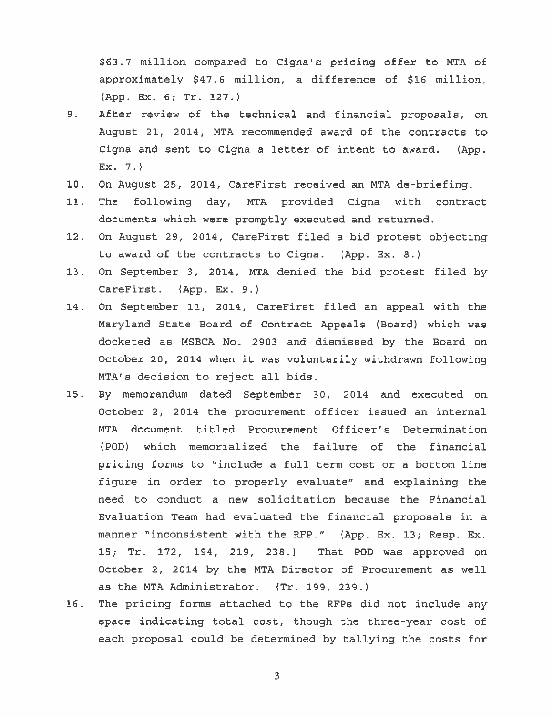\$63.7 million compare<sup>d</sup> to Cigna's pricing offer to MTA of approximately \$47.6 million, <sup>a</sup> difference of \$16 million. (App. Ex. 6; Tr. 127.)

- 9. After review of the technical and financial proposals, on August 21, 2014, MTA recommended award of the contracts to Cigna and sent to Cigna <sup>a</sup> letter of intent to award. (App.  $Ex. 7.$
- 10. On August 25, 2014, CareFirst received an MTA de-briefing.
- 11. The following day, MTA provided Cigna with contract documents which were promptly executed and returned.
- 12. On August 29, 2014, CareFirst filed <sup>a</sup> bid protest objecting to award of the contracts to Cigna. (App. Ex. 8.)
- 13. On September 3, 2014, MTA denied the bid protest filed by CareFirst. (App. Ex. 9.)
- 14. On September 11, 2014, CareFirst filed an appeal with the Maryland State Board of Contract Appeals (Board) which was docketed as MSBCA No. 2903 and dismissed by the Board on October 20, 2014 when it was voluntarily withdrawn following MTA's decision to reject all bids.
- 15. By memorandum dated September 30, 2014 and executed on October 2, 2014 the procuremen<sup>t</sup> officer issued an internal MTA document titled Procurement Officer's Determination (POD) which memorialized the failure of the financial pricing forms to "include <sup>a</sup> full term cost or <sup>a</sup> bottom line figure in order to properly evaluate" and explaining the need to conduct <sup>a</sup> new solicitation because the Financial Evaluation Team had evaluated the financial proposals in <sup>a</sup> manner "inconsistent with the RFP." (App. Ex. 13; Resp. Ex. 15; Tr. 172, 194, 219, 238.) That POD was approved on October 2, 2014 by the MTA Director of Procurement as well as the MTA Administrator. (Tr. 199, 239.)
- 16. The pricing forms attached to the RFPs did not include any space indicating total cost, though the three-year cost of each proposal could be determined by tallying the costs for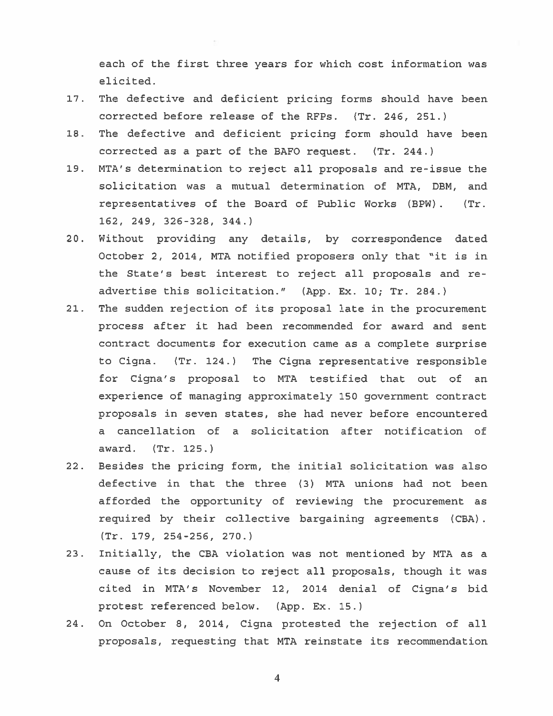each of the first three years for which cost information was elicited.

- 17. The defective and deficient pricing forms should have been corrected before release of the RFPs. (Tr. 246, 251.)
- 18. The defective and deficient pricing form should have been corrected as <sup>a</sup> par<sup>t</sup> of the BAFO request. (Tr. 244.)
- 19. MTA's determination to reject all proposals and re-issue the solicitation was <sup>a</sup> mutual determination of MTA, DBM, and representatives of the Board of Public Works (BPW) . (Tr. 162, 249, 326-328, 344.)
- 20. Without providing any details, by correspondence dated October 2, 2014, MTA notified proposers only that "it is in the State's best interest to reject all proposals and re advertise this solicitation." (App. Ex. 10; Tr. 284.)
- 21. The sudden rejection of its proposal late in the procuremen<sup>t</sup> process after it had been recommended for award and sent contract documents for execution came as <sup>a</sup> complete surprise to Cigna. (Tr. 124.) The Cigna representative responsible for Cigna's proposal to MTA testified that out of an experience of managing approximately 150 governmen<sup>t</sup> contract proposals in seven states, she had never before encountered <sup>a</sup> cancellation of <sup>a</sup> solicitation after notification of award. (Tr. 125.)
- 22. Besides the pricing form, the initial solicitation was also defective in that the three (3) MTA unions had not been afforded the opportunity of reviewing the procuremen<sup>t</sup> as required by their collective bargaining agreements (CBA) (Tr. 179, 254-256, 270.)
- 23. Initially, the CBA violation was not mentioned by MTA as <sup>a</sup> cause of its decision to reject all proposals, though it was cited in MTA's November 12, 2014 denial of Cigna's bid protest referenced below. (App. Ex. 15.)
- 24. On October 8, 2014, Cigna protested the rejection of all proposals, requesting that MTA reinstate its recommendation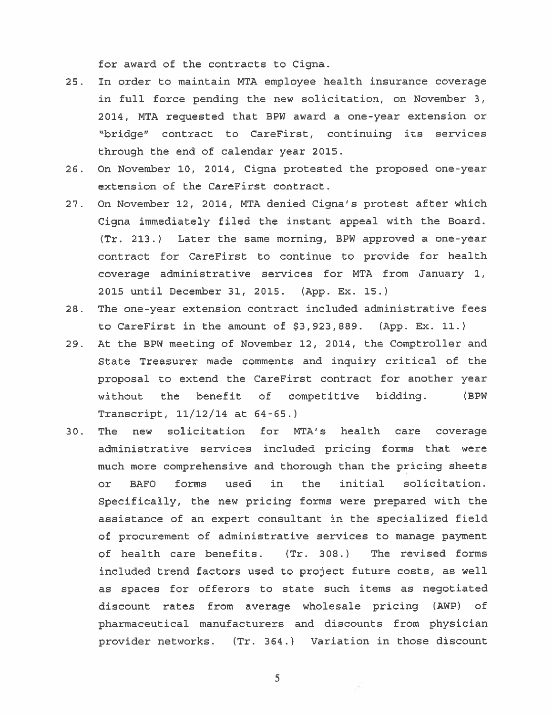for award of the contracts to Cigna.

- 25. In order to maintain MTA employee health insurance coverage in full force pending the new solicitation, on November 3, 2014, MTA requested that BPW award <sup>a</sup> one-year extension or "bridge" contract to CareFirst, continuing its services through the end of calendar year 2015.
- 26. On November 10, 2014, Cigna protested the proposed one-year extension of the CareFirst contract.
- 27. On November 12, 2014, MTA denied Cigna's protest after which Cigna immediately filed the instant appeal with the Board. (Tr. 213.) Later the same morning, BPW approved <sup>a</sup> one-year contract for CareFirst to continue to provide for health coverage administrative services for MTA from January 1, 2015 until December 31, 2015. (App. Ex. 15.)
- 28. The one-year extension contract included administrative fees to CareFirst in the amount of \$3,923,889. (App. Ex. 11.)
- 29. At the BPW meeting of November 12, 2014, the Comptroller and State Treasurer made comments and inquiry critical of the proposal to extend the CareFirst contract for another year without the benefit of competitive bidding. (BPW Transcript,  $11/12/14$  at  $64-65.$ )
- 30. The new solicitation for MTA's health care coverage administrative services included pricing forms that were much more comprehensive and thorough than the pricing sheets or BAFO forms used in the initial solicitation. Specifically, the new pricing forms were prepared with the assistance of an exper<sup>t</sup> consultant in the specialized field of procuremen<sup>t</sup> of administrative services to manage paymen<sup>t</sup> of health care benefits. (Tr. 308.) The revised forms included trend factors used to project future costs, as well as spaces for offerors to state such items as negotiated discount rates from average wholesale pricing (AWP) of pharmaceutical manufacturers and discounts from physician provider networks. (Tr. 364.) Variation in those discount

5

×.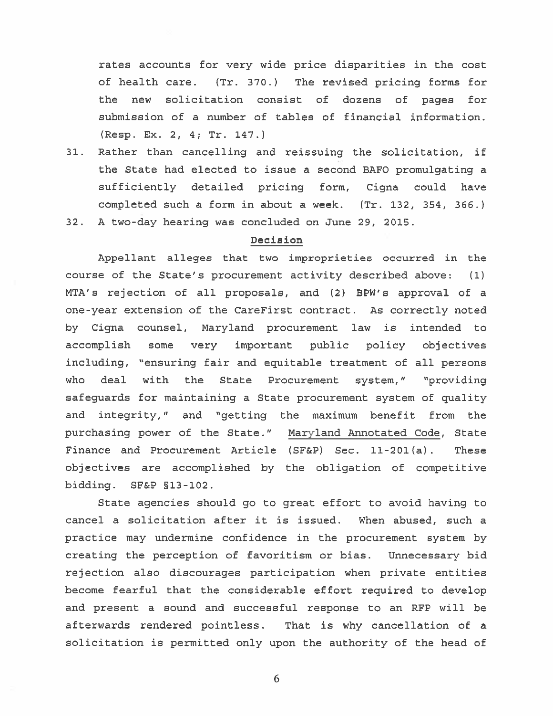rates accounts for very wide price disparities in the cost of health care. (Tr. 370.) The revised pricing forms for the new solicitation consist of dozens of pages for submission of <sup>a</sup> number of tables of financial information. (Resp. Ex. 2, 4; Tr. 147.)

- 31. Rather than cancelling and reissuing the solicitation, if the State had elected to issue <sup>a</sup> second BAFO promulgating <sup>a</sup> sufficiently detailed pricing form, Cigna could have completed such <sup>a</sup> form in about <sup>a</sup> week. (Tr. 132, 354, 366.)
- 32. A two-day hearing was concluded on June 29, 2015.

## Decision

Appellant alleges that two improprieties occurred in the course of the State's procuremen<sup>t</sup> activity described above: (1) MTA's rejection of all proposals, and (2) BPW's approval of <sup>a</sup> one-year extension of the CareFirst contract. As correctly noted by Cigna counsel, Maryland procuremen<sup>t</sup> law is intended to accomplish some very important public policy objectives including, "ensuring fair and equitable treatment of all persons who deal with the State Procurement system," "providing safeguards for maintaining <sup>a</sup> State procuremen<sup>t</sup> system of quality and integrity," and "getting the maximum benefit from the purchasing power of the State." Maryland Annotated Code, State Finance and Procurement Article (SF&P) Sec. 11-201(a). These objectives are accomplished by the obligation of competitive bidding. SF&P §13-102.

State agencies should go to grea<sup>t</sup> effort to avoid having to cancel <sup>a</sup> solicitation after it is issued. When abused, such <sup>a</sup> practice may undermine confidence in the procuremen<sup>t</sup> system by creating the perception of favoritism or bias. Unnecessary bid rejection also discourages participation when private entities become fearful that the considerable effort required to develop and presen<sup>t</sup> <sup>a</sup> sound and successful response to an RFP will be afterwards rendered pointless. That is why cancellation of <sup>a</sup> solicitation is permitted only upon the authority of the head of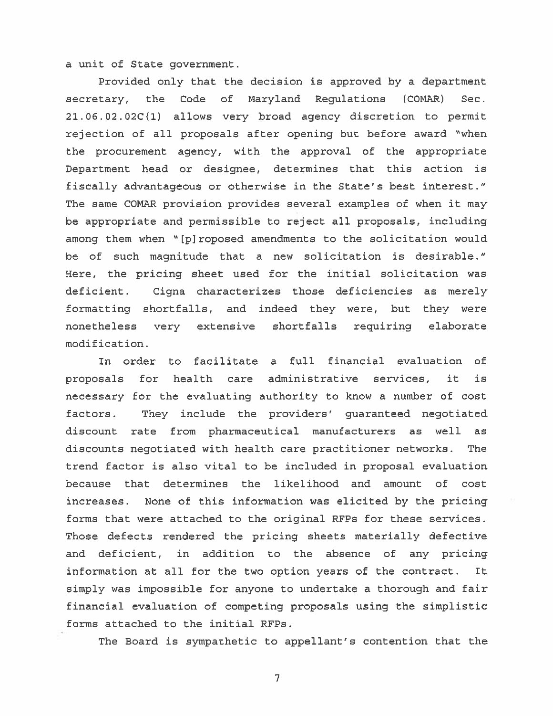<sup>a</sup> unit of State government.

Provided only that the decision is approved by <sup>a</sup> department secretary, the Code of Maryland Regulations (COMAR) Sec. 2l.O6.02.02C(l) allows very broad agency discretion to permit rejection of all proposals after opening but before award "when the procuremen<sup>t</sup> agency, with the approval of the appropriate Department head or designee, determines that this action is fiscally advantageous or otherwise in the State's best interest." The same COMAR provision provides several examples of when it may be appropriate and permissible to reject all proposals, including among them when "[piroposed amendments to the solicitation would be of such magnitude that <sup>a</sup> new solicitation is desirable." Here, the pricing sheet used for the initial solicitation was deficient. Cigna characterizes those deficiencies as merely formatting shortfalls, and indeed they were, but they were nonetheless very extensive shortfalls requiring elaborate modification.

In order to facilitate <sup>a</sup> full financial evaluation of proposals for health care administrative services, it is necessary for the evaluating authority to know <sup>a</sup> number of cost factors. They include the providers' guaranteed negotiated discount rate from pharmaceutical manufacturers as well as discounts negotiated with health care practitioner networks. The trend factor is also vital to be included in proposal evaluation because that determines the likelihood and amount of cost increases. None of this information was elicited by the pricing forms that were attached to the original RFPs for these services. Those defects rendered the pricing sheets materially defective and deficient, in addition to the absence of any pricing information at all for the two option years of the contract. It simply was impossible for anyone to undertake <sup>a</sup> thorough and fair financial evaluation of competing proposals using the simplistic forms attached to the initial RFPs.

The Board is sympathetic to appellant's contention that the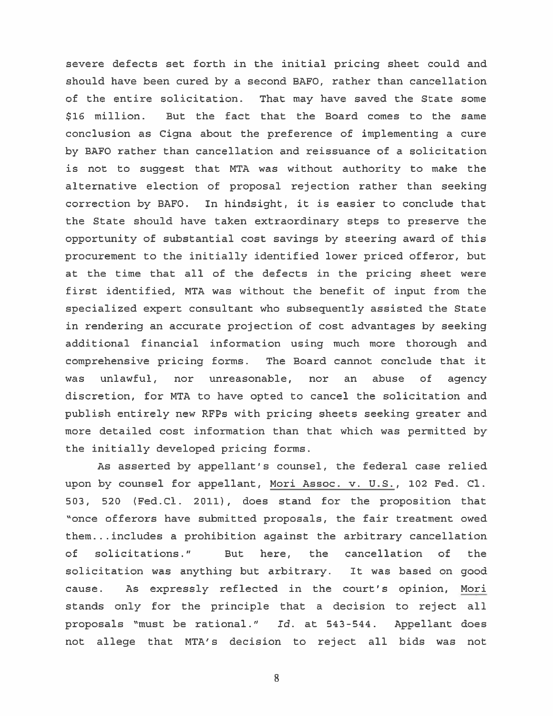severe defects set forth in the initial pricing sheet could and should have been cured by <sup>a</sup> second BAFO, rather than cancellation of the entire solicitation. That may have saved the State some \$16 million. But the fact that the Board comes to the same conclusion as Cigna about the preference of implementing <sup>a</sup> cure by BAFO rather than cancellation and reissuance of <sup>a</sup> solicitation is not to sugges<sup>t</sup> that MTA was without authority to make the alternative election of proposal rejection rather than seeking correction by BAFO. In hindsight, it is easier to conclude that the State should have taken extraordinary steps to preserve the opportunity of substantial cost savings by steering award of this procuremen<sup>t</sup> to the initially identified lower priced offeror, but at the time that all of the defects in the pricing sheet were first identified, MTA was without the benefit of input from the specialized exper<sup>t</sup> consultant who subsequently assisted the State in rendering an accurate projection of cost advantages by seeking additional financial information using much more thorough and comprehensive pricing forms. The Board cannot conclude that it was unlawful, nor unreasonable, nor an abuse of agency discretion, for MTA to have opted to cancel the solicitation and publish entirely new RFPs with pricing sheets seeking greater and more detailed cost information than that which was permitted by the initially developed pricing forms.

As asserted by appellant's counsel, the federal case relied upon by counsel for appellant, Mori Assoc. v. U.S., 102 Fed. Cl. 503, 520 (Fed.Cl. 2011), does stand for the proposition that "once offerors have submitted proposals, the fair treatment owed them.. . includes <sup>a</sup> prohibition against the arbitrary cancellation of solicitations." But here, the cancellation of the solicitation was anything but arbitrary. It was based on good cause. As expressly reflected in the court's opinion, Mori stands only for the principle that <sup>a</sup> decision to reject all proposals "must be rational." Id. at 543-544. Appellant does not allege that MTA's decision to reject all bids was not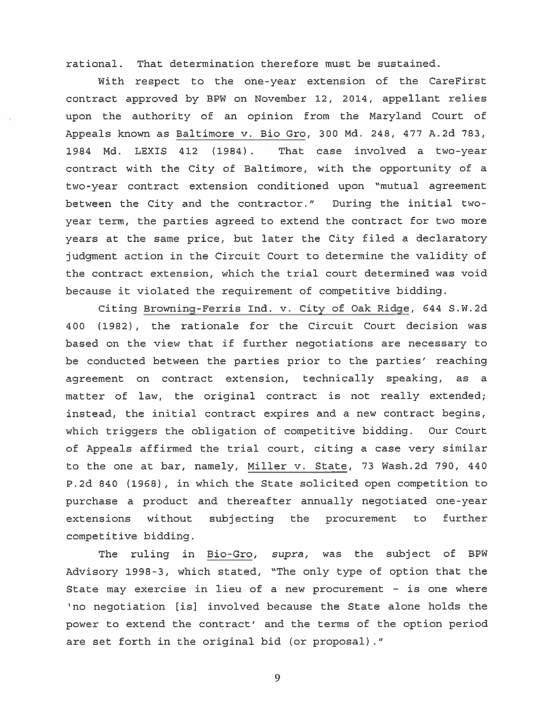rational. That determination therefore must be sustained.

With respec<sup>t</sup> to the one-year extension of the CareFirst contract approved by BPW on November 12, 2014, appellant relies upon the authority of an opinion from the Maryland Court of Appeals known as Baltimore v. Bio Gro, 300 Md. 248, 477 A.2d 783, 1984 Md. LEXIS 412 (1984) . That case involved <sup>a</sup> two-year contract with the City of Baltimore, with the opportunity of <sup>a</sup> two-year contract extension conditioned upon "mutual agreemen<sup>t</sup> between the City and the contractor." During the initial twoyear term, the parties agreed to extend the contract for two more years at the same price, but later the City filed <sup>a</sup> declaratory judgment action in the Circuit Court to determine the validity of the contract extension, which the trial court determined was void because it violated the requirement of competitive bidding.

Citing Browning-Ferris Ind. v. City of Oak Ridge, 644 S.W.2d 400 (1982), the rationale for the Circuit Court decision was based on the view that if further negotiations are necessary to be conducted between the parties prior to the parties' reaching agreemen<sup>t</sup> on contract extension, technically speaking, as <sup>a</sup> matter of law, the original contract is not really extended; instead, the initial contract expires and <sup>a</sup> new contract begins, which triggers the obligation of competitive bidding. Our Court of Appeals affirmed the trial court, citing <sup>a</sup> case very similar to the one at bar, namely, Miller v. State, 73 Wash.2d 790, 440 P.2d 840 (1968), in which the State solicited open competition to purchase <sup>a</sup> product and thereafter annually negotiated one-year extensions without subjecting the procuremen<sup>t</sup> to further competitive bidding.

The ruling in Bio-Gro, supra, was the subject of BPW Advisory 1998-3, which stated, "The only type of option that the State may exercise in lieu of <sup>a</sup> new procuremen<sup>t</sup> — is one where 'no negotiation [is] involved because the State alone holds the power to extend the contract' and the terms of the option period are set forth in the original bid (or proposal) ."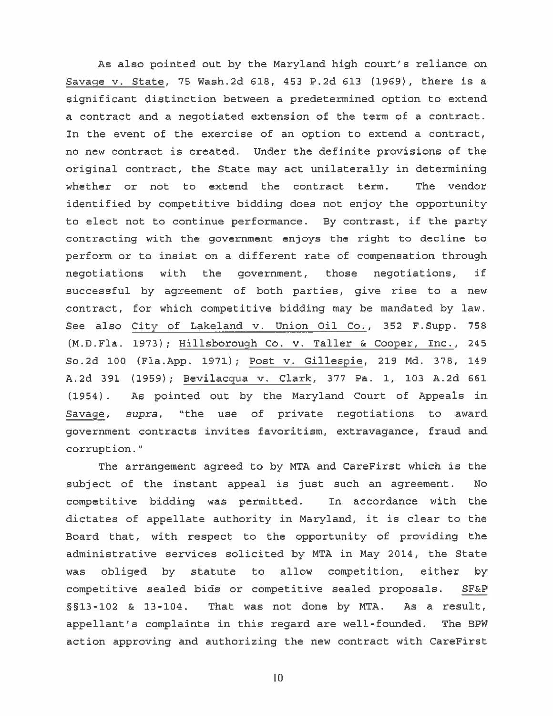As also pointed out by the Maryland high court's reliance on Savage v. State, 75 Wash.2d 618, 453 P.2d 613 (1969), there is <sup>a</sup> significant distinction between <sup>a</sup> predetermined option to extend <sup>a</sup> contract and <sup>a</sup> negotiated extension of the term of <sup>a</sup> contract. In the event of the exercise of an option to extend <sup>a</sup> contract, no new contract is created. Under the definite provisions of the original contract, the State may act unilaterally in determining whether or not to extend the contract term. The vendor identified by competitive bidding does not enjoy the opportunity to elect not to continue performance. By contrast, if the party contracting with the governmen<sup>t</sup> enjoys the right to decline to perform or to insist on <sup>a</sup> different rate of compensation through negotiations with the government, those negotiations, if successful by agreemen<sup>t</sup> of both parties, give rise to <sup>a</sup> new contract, for which competitive bidding may be mandated by law. See also City of Lakeland v. Union Oil Co., 352 F.Supp. 758 (M.D.Fla. 1973); Hilisborough Co. v. Taller & Cooper, Inc., 245 So.2d <sup>100</sup> (Fla.App. 1971); Post v. Gillespie, 219 Md. 378, 149 A.2d 391 (1959); Bevilacgua v. Clark, 377 Pa. 1, 103 A.2d 661 (1954) . As pointed out by the Maryland Court of Appeals in Savage, supra, "the use of private negotiations to award governmen<sup>t</sup> contracts invites favoritism, extravagance, fraud and corruption."

The arrangemen<sup>t</sup> agreed to by MTA and CareFirst which is the subject of the instant appeal is just such an agreement. No competitive bidding was permitted. In accordance with the dictates of appellate authority in Maryland, it is clear to the Board that, with respec<sup>t</sup> to the opportunity of providing the administrative services solicited by MTA in May 2014, the State was obliged by statute to allow competition, either by competitive sealed bids or competitive sealed proposals. SF&P §fl3-102 & 13-104. That was not done by MTA. As <sup>a</sup> result, appellant's complaints in this regard are well-founded. The BPW action approving and authorizing the new contract with CareFirst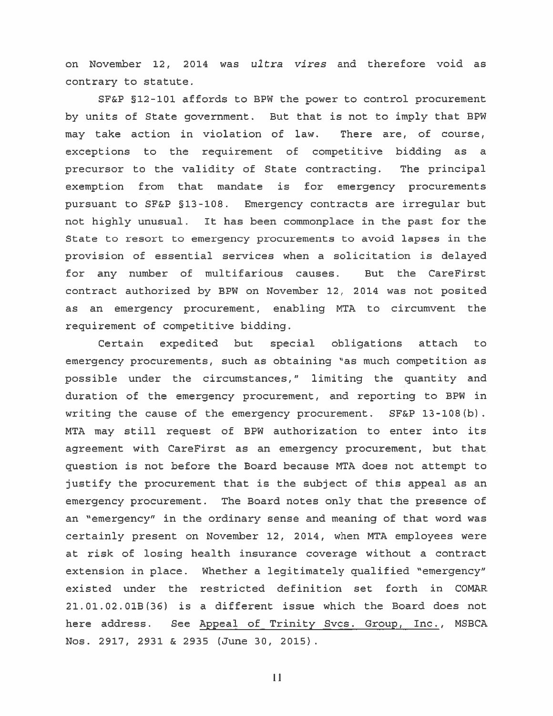on November 12, 2014 was ultra vires and therefore void as contrary to statute.

SF&P §12-101 affords to BPW the power to control procuremen<sup>t</sup> by units of State government. But that is not to imply that BPW may take action in violation of law. There are, of course, exceptions to the requirement of competitive bidding as <sup>a</sup> precursor to the validity of State contracting. The principal exemption from that mandate is for emergency procurements pursuan<sup>t</sup> to SF&P §13-108. Emergency contracts are irregular but not highly unusual. It has been commonplace in the pas<sup>t</sup> for the State to resort to emergency procurements to avoid lapses in the provision of essential services when <sup>a</sup> solicitation is delayed for any number of multifarious causes. But the CareFirst contract authorized by BPW on November 12, 2014 was not posited as an emergency procurement, enabling MTA to circumvent the requirement of competitive bidding.

Certain expedited but special obligations attach to emergency procurements, such as obtaining "as much competition as possible under the circumstances," limiting the quantity and duration of the emergency procurement, and reporting to BPW in writing the cause of the emergency procurement. SF&P 13-108(b). MTA may still reques<sup>t</sup> of BPW authorization to enter into its agreemen<sup>t</sup> with CareFirst as an emergency procurement, but that question is not before the Board because MTA does not attempt to justify the procuremen<sup>t</sup> that is the subject of this appeal as an emergency procurement. The Board notes only that the presence of an "emergency" in the ordinary sense and meaning of that word was certainly presen<sup>t</sup> on November 12, 2014, when MTA employees were at risk of losing health insurance coverage without <sup>a</sup> contract extension in place. Whether <sup>a</sup> legitimately qualified "emergency" existed under the restricted definition set forth in COMAR 21.01.02.O1B(36) is <sup>a</sup> different issue which the Board does not here address. See Appeal of Trinity Svcs. Group, Inc., MSBCA Nos. 2917, 2931 & 2935 (June 30, 2015)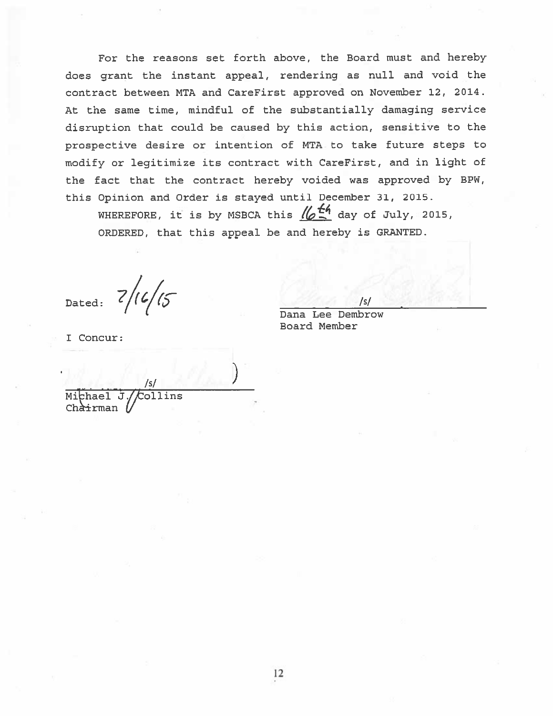For the reasons set forth above, the Board must and hereby does gran<sup>t</sup> the instant appeal, rendering as null and void the contract between MTA and CareFirst approved on November 12, 2014. At the same time, mindful of the substantially damaging service disruption that could be caused by this action, sensitive to the prospective desire or intention of MTA to take future steps to modify or legitimize its contract with CareFirst, and in light of the fact that the contract hereby voided was approved by BPW, this Opinion and Order is stayed until December 31, 2015. For the reasons set forth above, the Board must and I<br>grant the instant appeal, rendering as null and voi<br>act between MTA and CareFirst approved on November 12,<br>e same time, mindful of the substantially damaging se<br>ption

ORDERED, that this appeal be and hereby is GRANTED.

Dated:  $7/16/15$ 

I Concur:

Dana Lee Dembrow Eoard Member

 $/5/$  ) Mithael J./Collins Chà<del>i</del>rman *[*/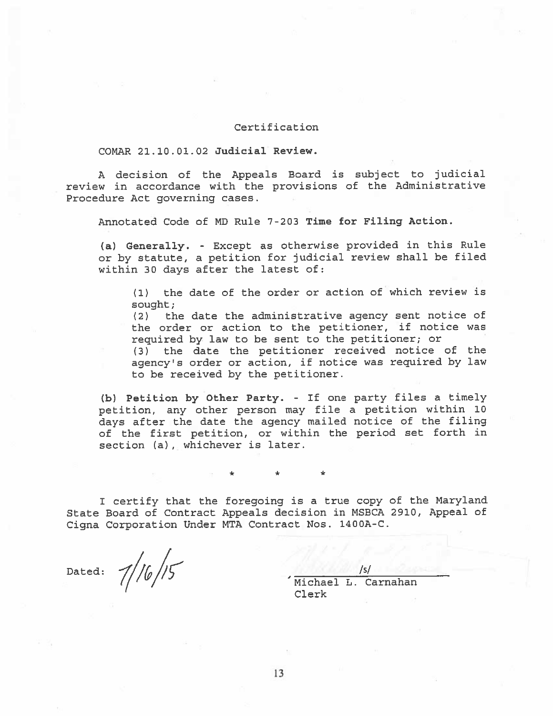#### Certification

#### COMAR 21.10.01.02 Judicial Review.

<sup>A</sup> decision of the Appeals Board is subject to judicial review in accordance with the provisions of the Administrative Procedure Act governing cases.

Annotated Code of MD Rule 7-203 Time for Filing Action.

(a) Generally. - Except as otherwise provided in this Rule or by statute, <sup>a</sup> petition for judicial review shall be filed within 30 days after the latest of:

(1) the date of the order or action of which review is sought;

(2) the date the administrative agency sent notice of the order or action to the petitioner, if notice was required by law to be sent to the petitioner; or

(3) the date the petitioner received notice of the agency's order or action, if notice was required by law to be received by the petitioner.

(b) Petition by Other Party. - If one party files <sup>a</sup> timely petition, any other person may file <sup>a</sup> petition within <sup>10</sup> days after the date the agency mailed notice of the filing of the first petition, or within the period set forth in section (a), whichever is later.

<sup>I</sup> certify that the foregoing is <sup>a</sup> true copy of the Maryland State Board of Contract Appeals decision in MSBCA 2910, Appeal of Cigna Corporation Under MTA Contract Nos. 1400A-C.

\* \*

\*

Dated:  $7/16/15$ 

Michael L. Carnahan Clerk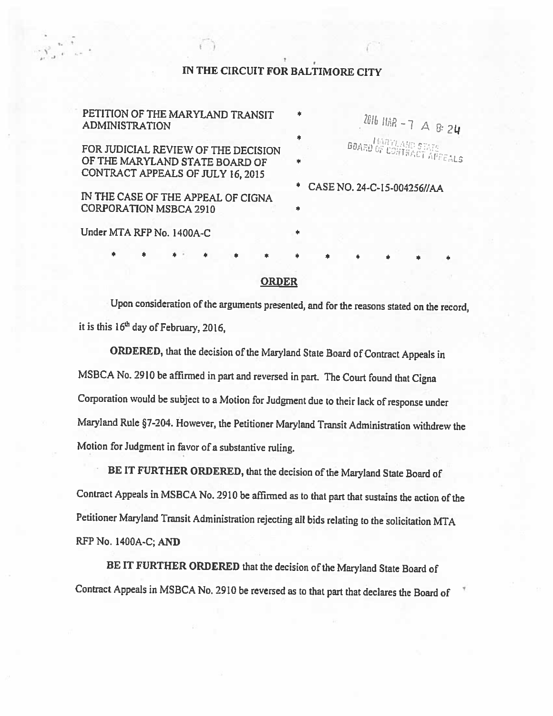# IN THE CIRCUIT FOR BALTIMORE CITY

I. .3

| PETITION OF THE MARYLAND TRANSIT<br><b>ADMINISTRATION</b>                                                  | $\ast$<br>2016 HAR - 7 A 8: 24        |
|------------------------------------------------------------------------------------------------------------|---------------------------------------|
| FOR JUDICIAL REVIEW OF THE DECISION<br>OF THE MARYLAND STATE BOARD OF<br>CONTRACT APPEALS OF JULY 16, 2015 | *<br><b>BOARD OF CONTRACT APPEALS</b> |
| IN THE CASE OF THE APPEAL OF CIGNA<br><b>CORPORATION MSBCA 2910</b>                                        | 事<br>CASE NO. 24-C-15-004256//AA<br>康 |
| Under MTA RFP No. 1400A-C                                                                                  | *                                     |
| 瘶                                                                                                          | *<br>۰<br>ォ                           |

## ORDER

Upon consideration of the arguments presented, and for the reasons stated on the record, it is this  $16<sup>th</sup>$  day of February, 2016,

ORDERED, that the decision of the Maryland State Board of Contract Appeals in MSBCA No. <sup>2910</sup> be affirmed in part and reversed in part. The Court found that Cigna Corporation would be subject to <sup>a</sup> Motion for Judgment due to their lack of response under Maryland Rule §7-204. However, the Petitioner Maryland Transit Administration withdrew the Motion for Judgment in favor of <sup>a</sup> substantive ruling.

BE IT FURTHER ORDERED, that the decision of the Maryland State Board of Contract Appeals in MSBCA No. <sup>2910</sup> be affirmed as to that part that sustains the action of the Petitioner Maryland Transit Administration rejecting all bids relating to the solicitation MTA RFP No. 1400A-C; AND

BE IT FURTHER ORDERED that the decision of the Maryland State Board of Contract Appeals in MSBCA No. <sup>2910</sup> be reversed as to that part that declares the Board of